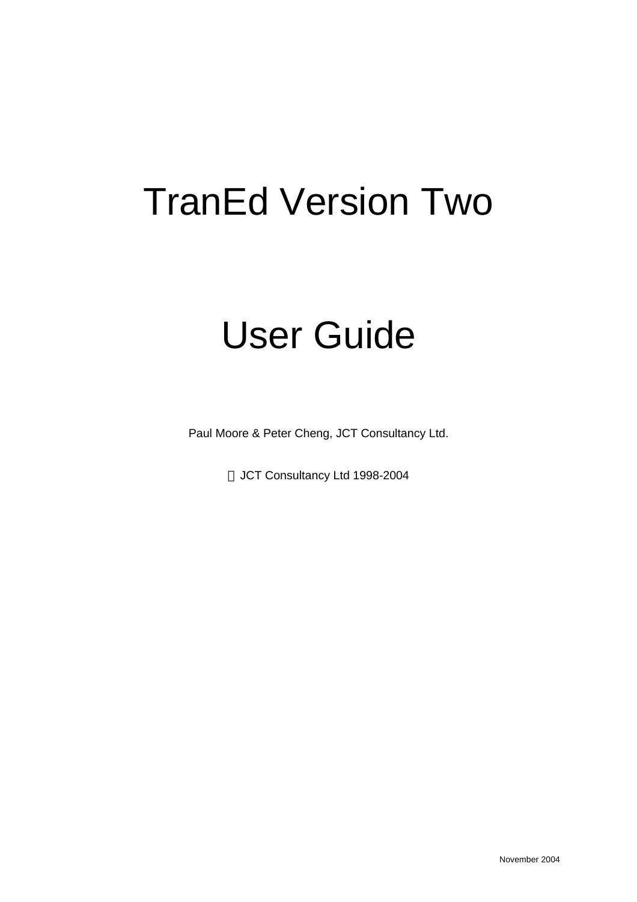# TranEd Version Two

# User Guide

Paul Moore & Peter Cheng, JCT Consultancy Ltd.

JCT Consultancy Ltd 1998-2004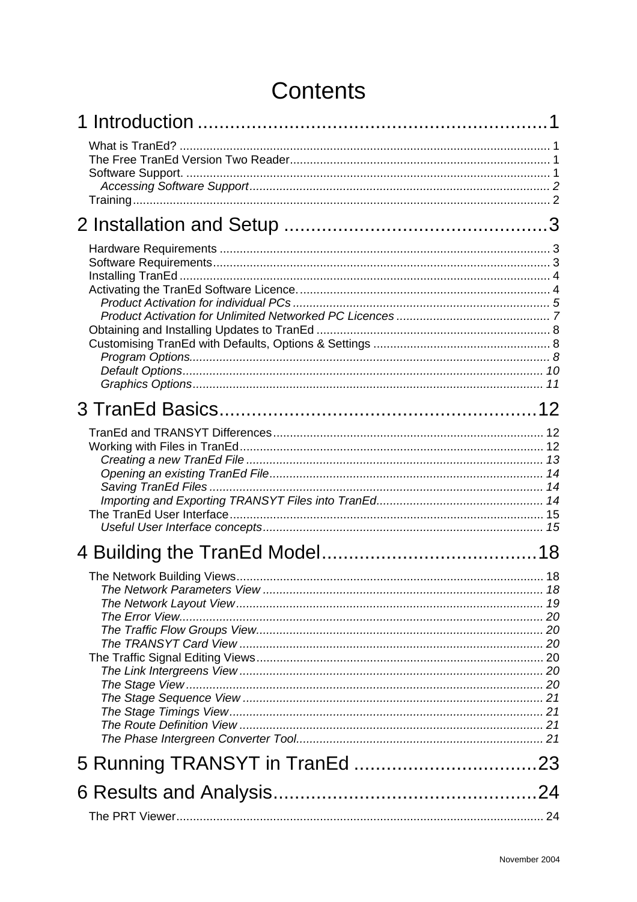# **Contents**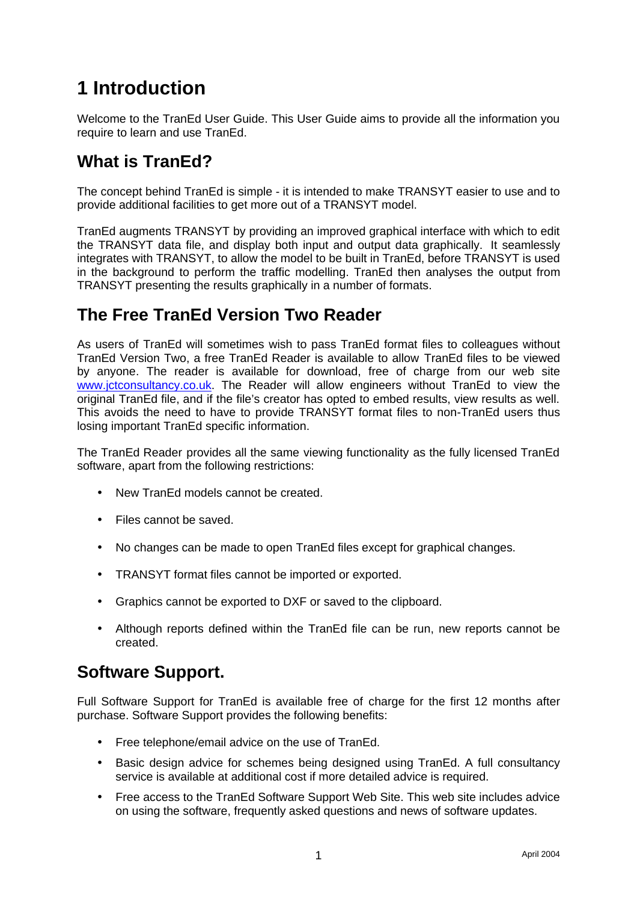# **1 Introduction**

Welcome to the TranEd User Guide. This User Guide aims to provide all the information you require to learn and use TranEd.

# **What is TranEd?**

The concept behind TranEd is simple - it is intended to make TRANSYT easier to use and to provide additional facilities to get more out of a TRANSYT model.

TranEd augments TRANSYT by providing an improved graphical interface with which to edit the TRANSYT data file, and display both input and output data graphically. It seamlessly integrates with TRANSYT, to allow the model to be built in TranEd, before TRANSYT is used in the background to perform the traffic modelling. TranEd then analyses the output from TRANSYT presenting the results graphically in a number of formats.

# **The Free TranEd Version Two Reader**

As users of TranEd will sometimes wish to pass TranEd format files to colleagues without TranEd Version Two, a free TranEd Reader is available to allow TranEd files to be viewed by anyone. The reader is available for download, free of charge from our web site www.jctconsultancy.co.uk. The Reader will allow engineers without TranEd to view the original TranEd file, and if the file's creator has opted to embed results, view results as well. This avoids the need to have to provide TRANSYT format files to non-TranEd users thus losing important TranEd specific information.

The TranEd Reader provides all the same viewing functionality as the fully licensed TranEd software, apart from the following restrictions:

- New TranEd models cannot be created.
- Files cannot be saved.
- No changes can be made to open TranEd files except for graphical changes.
- TRANSYT format files cannot be imported or exported.
- Graphics cannot be exported to DXF or saved to the clipboard.
- Although reports defined within the TranEd file can be run, new reports cannot be created.

# **Software Support.**

Full Software Support for TranEd is available free of charge for the first 12 months after purchase. Software Support provides the following benefits:

- Free telephone/email advice on the use of TranEd.
- Basic design advice for schemes being designed using TranEd. A full consultancy service is available at additional cost if more detailed advice is required.
- Free access to the TranEd Software Support Web Site. This web site includes advice on using the software, frequently asked questions and news of software updates.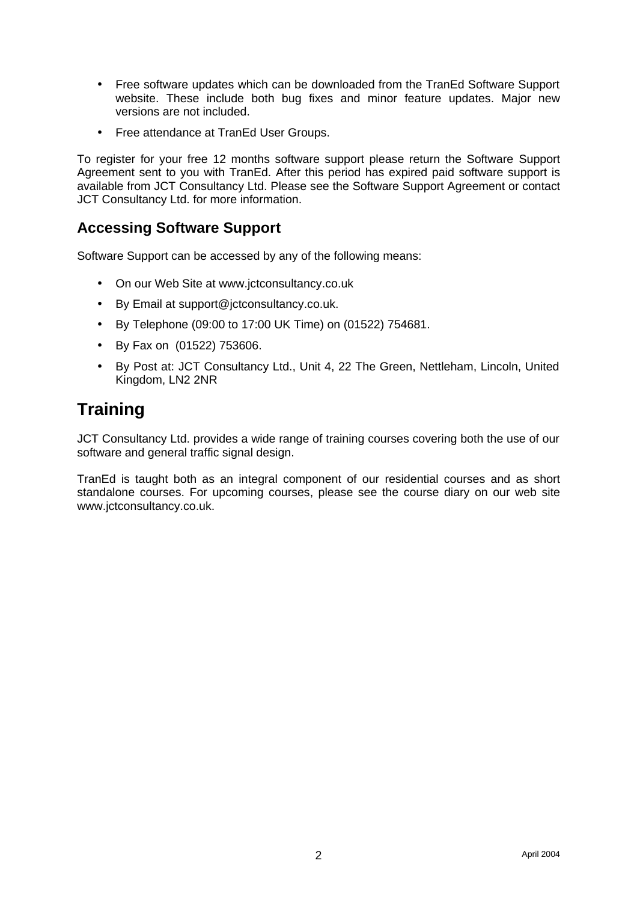- Free software updates which can be downloaded from the TranEd Software Support website. These include both bug fixes and minor feature updates. Major new versions are not included.
- Free attendance at TranEd User Groups.

To register for your free 12 months software support please return the Software Support Agreement sent to you with TranEd. After this period has expired paid software support is available from JCT Consultancy Ltd. Please see the Software Support Agreement or contact JCT Consultancy Ltd. for more information.

## **Accessing Software Support**

Software Support can be accessed by any of the following means:

- On our Web Site at www.jctconsultancy.co.uk
- By Email at support@jctconsultancy.co.uk.
- By Telephone (09:00 to 17:00 UK Time) on (01522) 754681.
- By Fax on (01522) 753606.
- By Post at: JCT Consultancy Ltd., Unit 4, 22 The Green, Nettleham, Lincoln, United Kingdom, LN2 2NR

# **Training**

JCT Consultancy Ltd. provides a wide range of training courses covering both the use of our software and general traffic signal design.

TranEd is taught both as an integral component of our residential courses and as short standalone courses. For upcoming courses, please see the course diary on our web site www.jctconsultancy.co.uk.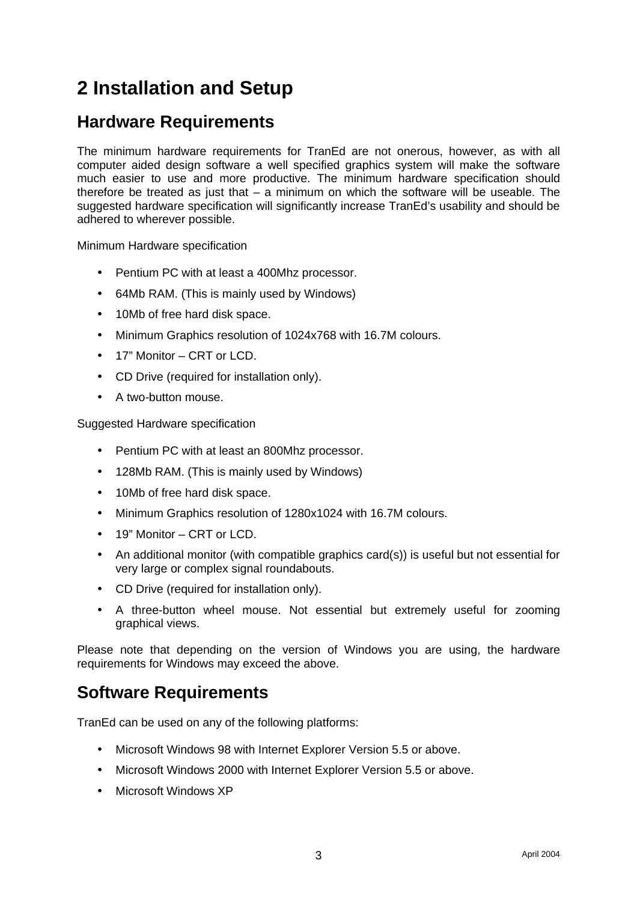# **2 Installation and Setup**

# **Hardware Requirements**

The minimum hardware requirements for TranEd are not onerous, however, as with all computer aided design software a well specified graphics system will make the software much easier to use and more productive. The minimum hardware specification should therefore be treated as just that  $-$  a minimum on which the software will be useable. The suggested hardware specification will significantly increase TranEd's usability and should be adhered to wherever possible.

Minimum Hardware specification

- Pentium PC with at least a 400Mhz processor.
- 64Mb RAM. (This is mainly used by Windows)
- 10Mb of free hard disk space.
- Minimum Graphics resolution of 1024x768 with 16.7M colours.
- 17" Monitor CRT or LCD.
- CD Drive (required for installation only).
- A two-button mouse.

Suggested Hardware specification

- Pentium PC with at least an 800Mhz processor.
- 128Mb RAM. (This is mainly used by Windows)
- 10Mb of free hard disk space.
- Minimum Graphics resolution of 1280x1024 with 16.7M colours.
- 19" Monitor CRT or LCD.
- An additional monitor (with compatible graphics card(s)) is useful but not essential for very large or complex signal roundabouts.
- CD Drive (required for installation only).
- A three-button wheel mouse. Not essential but extremely useful for zooming graphical views.

Please note that depending on the version of Windows you are using, the hardware requirements for Windows may exceed the above.

## **Software Requirements**

TranEd can be used on any of the following platforms:

- Microsoft Windows 98 with Internet Explorer Version 5.5 or above.
- Microsoft Windows 2000 with Internet Explorer Version 5.5 or above.
- Microsoft Windows XP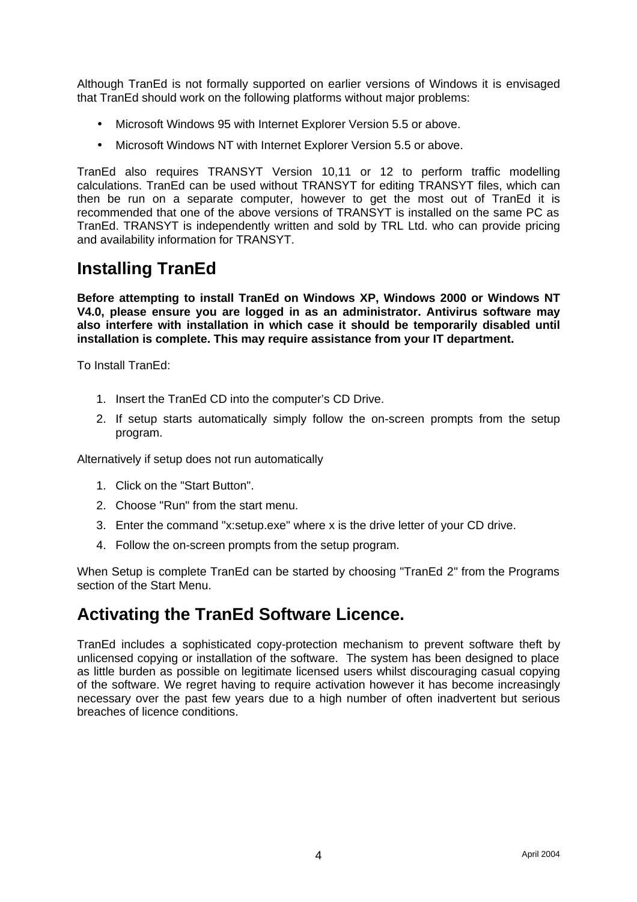Although TranEd is not formally supported on earlier versions of Windows it is envisaged that TranEd should work on the following platforms without major problems:

- Microsoft Windows 95 with Internet Explorer Version 5.5 or above.
- Microsoft Windows NT with Internet Explorer Version 5.5 or above.

TranEd also requires TRANSYT Version 10,11 or 12 to perform traffic modelling calculations. TranEd can be used without TRANSYT for editing TRANSYT files, which can then be run on a separate computer, however to get the most out of TranEd it is recommended that one of the above versions of TRANSYT is installed on the same PC as TranEd. TRANSYT is independently written and sold by TRL Ltd. who can provide pricing and availability information for TRANSYT.

# **Installing TranEd**

**Before attempting to install TranEd on Windows XP, Windows 2000 or Windows NT V4.0, please ensure you are logged in as an administrator. Antivirus software may also interfere with installation in which case it should be temporarily disabled until installation is complete. This may require assistance from your IT department.**

To Install TranEd:

- 1. Insert the TranEd CD into the computer's CD Drive.
- 2. If setup starts automatically simply follow the on-screen prompts from the setup program.

Alternatively if setup does not run automatically

- 1. Click on the "Start Button".
- 2. Choose "Run" from the start menu.
- 3. Enter the command "x:setup.exe" where x is the drive letter of your CD drive.
- 4. Follow the on-screen prompts from the setup program.

When Setup is complete TranEd can be started by choosing "TranEd 2" from the Programs section of the Start Menu.

## **Activating the TranEd Software Licence.**

TranEd includes a sophisticated copy-protection mechanism to prevent software theft by unlicensed copying or installation of the software. The system has been designed to place as little burden as possible on legitimate licensed users whilst discouraging casual copying of the software. We regret having to require activation however it has become increasingly necessary over the past few years due to a high number of often inadvertent but serious breaches of licence conditions.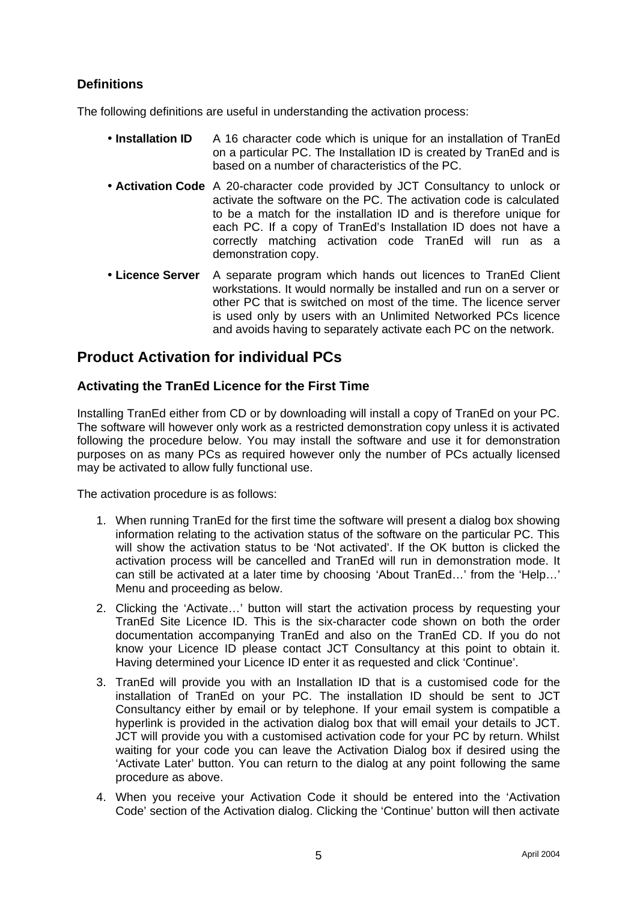## **Definitions**

The following definitions are useful in understanding the activation process:

- **Installation ID** A 16 character code which is unique for an installation of TranEd on a particular PC. The Installation ID is created by TranEd and is based on a number of characteristics of the PC.
- **Activation Code** A 20-character code provided by JCT Consultancy to unlock or activate the software on the PC. The activation code is calculated to be a match for the installation ID and is therefore unique for each PC. If a copy of TranEd's Installation ID does not have a correctly matching activation code TranEd will run as a demonstration copy.
- **Licence Server** A separate program which hands out licences to TranEd Client workstations. It would normally be installed and run on a server or other PC that is switched on most of the time. The licence server is used only by users with an Unlimited Networked PCs licence and avoids having to separately activate each PC on the network.

## **Product Activation for individual PCs**

### **Activating the TranEd Licence for the First Time**

Installing TranEd either from CD or by downloading will install a copy of TranEd on your PC. The software will however only work as a restricted demonstration copy unless it is activated following the procedure below. You may install the software and use it for demonstration purposes on as many PCs as required however only the number of PCs actually licensed may be activated to allow fully functional use.

The activation procedure is as follows:

- 1. When running TranEd for the first time the software will present a dialog box showing information relating to the activation status of the software on the particular PC. This will show the activation status to be 'Not activated'. If the OK button is clicked the activation process will be cancelled and TranEd will run in demonstration mode. It can still be activated at a later time by choosing 'About TranEd…' from the 'Help…' Menu and proceeding as below.
- 2. Clicking the 'Activate…' button will start the activation process by requesting your TranEd Site Licence ID. This is the six-character code shown on both the order documentation accompanying TranEd and also on the TranEd CD. If you do not know your Licence ID please contact JCT Consultancy at this point to obtain it. Having determined your Licence ID enter it as requested and click 'Continue'.
- 3. TranEd will provide you with an Installation ID that is a customised code for the installation of TranEd on your PC. The installation ID should be sent to JCT Consultancy either by email or by telephone. If your email system is compatible a hyperlink is provided in the activation dialog box that will email your details to JCT. JCT will provide you with a customised activation code for your PC by return. Whilst waiting for your code you can leave the Activation Dialog box if desired using the 'Activate Later' button. You can return to the dialog at any point following the same procedure as above.
- 4. When you receive your Activation Code it should be entered into the 'Activation Code' section of the Activation dialog. Clicking the 'Continue' button will then activate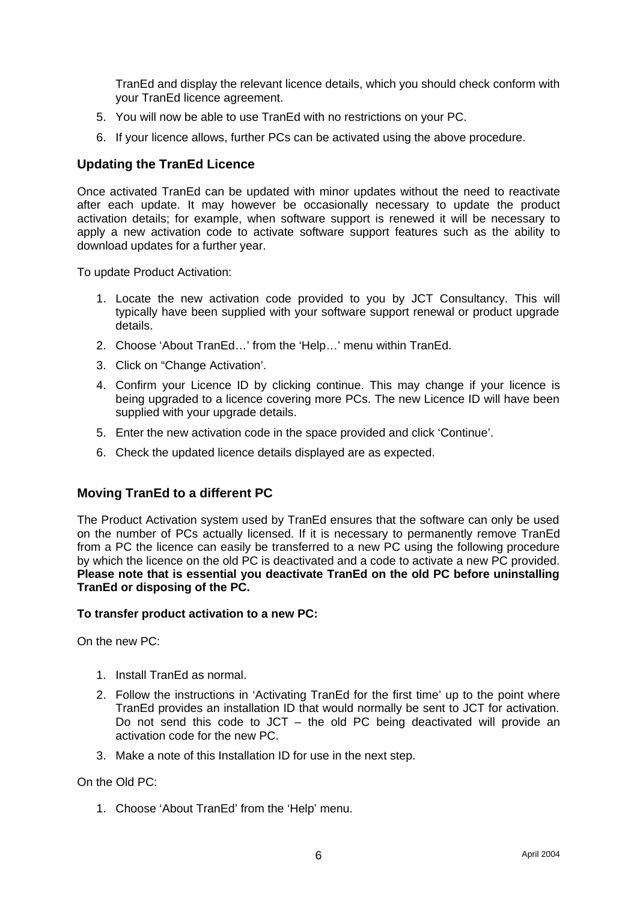TranEd and display the relevant licence details, which you should check conform with your TranEd licence agreement.

- 5. You will now be able to use TranEd with no restrictions on your PC.
- 6. If your licence allows, further PCs can be activated using the above procedure.

#### **Updating the TranEd Licence**

Once activated TranEd can be updated with minor updates without the need to reactivate after each update. It may however be occasionally necessary to update the product activation details; for example, when software support is renewed it will be necessary to apply a new activation code to activate software support features such as the ability to download updates for a further year.

To update Product Activation:

- 1. Locate the new activation code provided to you by JCT Consultancy. This will typically have been supplied with your software support renewal or product upgrade details.
- 2. Choose 'About TranEd…' from the 'Help…' menu within TranEd.
- 3. Click on "Change Activation'.
- 4. Confirm your Licence ID by clicking continue. This may change if your licence is being upgraded to a licence covering more PCs. The new Licence ID will have been supplied with your upgrade details.
- 5. Enter the new activation code in the space provided and click 'Continue'.
- 6. Check the updated licence details displayed are as expected.

#### **Moving TranEd to a different PC**

The Product Activation system used by TranEd ensures that the software can only be used on the number of PCs actually licensed. If it is necessary to permanently remove TranEd from a PC the licence can easily be transferred to a new PC using the following procedure by which the licence on the old PC is deactivated and a code to activate a new PC provided. **Please note that is essential you deactivate TranEd on the old PC before uninstalling TranEd or disposing of the PC.**

#### **To transfer product activation to a new PC:**

On the new PC:

- 1. Install TranEd as normal.
- 2. Follow the instructions in 'Activating TranEd for the first time' up to the point where TranEd provides an installation ID that would normally be sent to JCT for activation. Do not send this code to JCT – the old PC being deactivated will provide an activation code for the new PC.
- 3. Make a note of this Installation ID for use in the next step.

On the Old PC:

1. Choose 'About TranEd' from the 'Help' menu.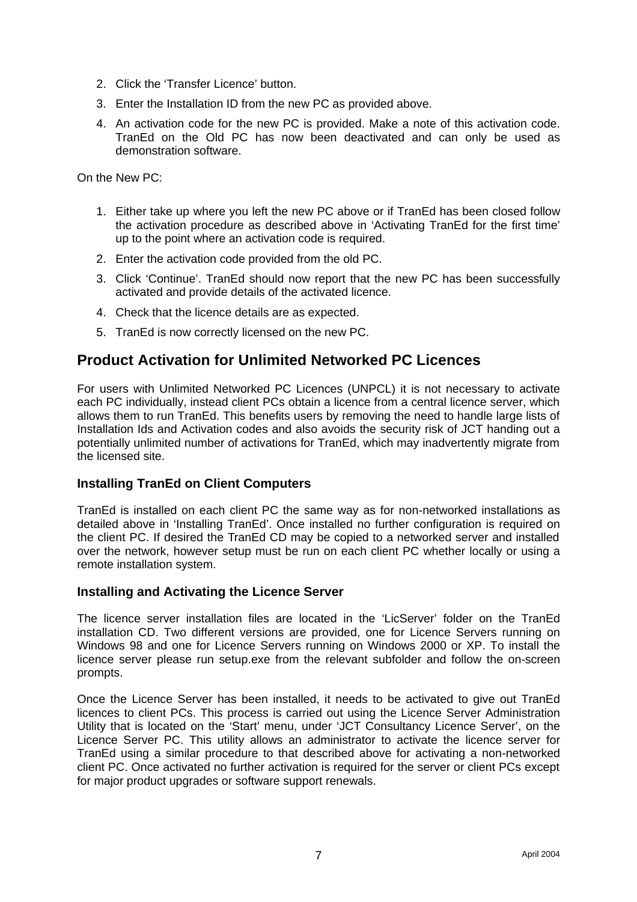- 2. Click the 'Transfer Licence' button.
- 3. Enter the Installation ID from the new PC as provided above.
- 4. An activation code for the new PC is provided. Make a note of this activation code. TranEd on the Old PC has now been deactivated and can only be used as demonstration software.

On the New PC:

- 1. Either take up where you left the new PC above or if TranEd has been closed follow the activation procedure as described above in 'Activating TranEd for the first time' up to the point where an activation code is required.
- 2. Enter the activation code provided from the old PC.
- 3. Click 'Continue'. TranEd should now report that the new PC has been successfully activated and provide details of the activated licence.
- 4. Check that the licence details are as expected.
- 5. TranEd is now correctly licensed on the new PC.

## **Product Activation for Unlimited Networked PC Licences**

For users with Unlimited Networked PC Licences (UNPCL) it is not necessary to activate each PC individually, instead client PCs obtain a licence from a central licence server, which allows them to run TranEd. This benefits users by removing the need to handle large lists of Installation Ids and Activation codes and also avoids the security risk of JCT handing out a potentially unlimited number of activations for TranEd, which may inadvertently migrate from the licensed site.

#### **Installing TranEd on Client Computers**

TranEd is installed on each client PC the same way as for non-networked installations as detailed above in 'Installing TranEd'. Once installed no further configuration is required on the client PC. If desired the TranEd CD may be copied to a networked server and installed over the network, however setup must be run on each client PC whether locally or using a remote installation system.

#### **Installing and Activating the Licence Server**

The licence server installation files are located in the 'LicServer' folder on the TranEd installation CD. Two different versions are provided, one for Licence Servers running on Windows 98 and one for Licence Servers running on Windows 2000 or XP. To install the licence server please run setup.exe from the relevant subfolder and follow the on-screen prompts.

Once the Licence Server has been installed, it needs to be activated to give out TranEd licences to client PCs. This process is carried out using the Licence Server Administration Utility that is located on the 'Start' menu, under 'JCT Consultancy Licence Server', on the Licence Server PC. This utility allows an administrator to activate the licence server for TranEd using a similar procedure to that described above for activating a non-networked client PC. Once activated no further activation is required for the server or client PCs except for major product upgrades or software support renewals.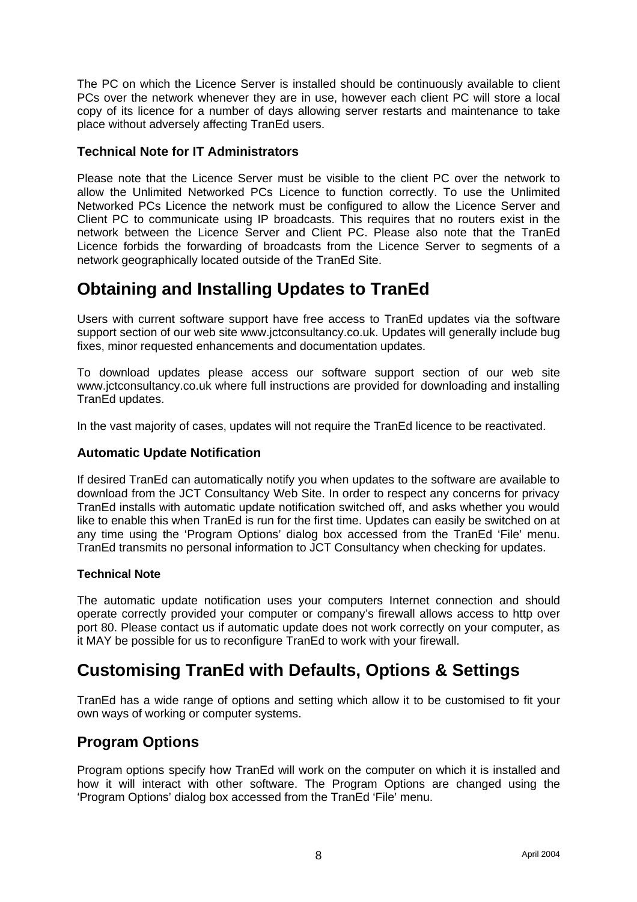The PC on which the Licence Server is installed should be continuously available to client PCs over the network whenever they are in use, however each client PC will store a local copy of its licence for a number of days allowing server restarts and maintenance to take place without adversely affecting TranEd users.

#### **Technical Note for IT Administrators**

Please note that the Licence Server must be visible to the client PC over the network to allow the Unlimited Networked PCs Licence to function correctly. To use the Unlimited Networked PCs Licence the network must be configured to allow the Licence Server and Client PC to communicate using IP broadcasts. This requires that no routers exist in the network between the Licence Server and Client PC. Please also note that the TranEd Licence forbids the forwarding of broadcasts from the Licence Server to segments of a network geographically located outside of the TranEd Site.

## **Obtaining and Installing Updates to TranEd**

Users with current software support have free access to TranEd updates via the software support section of our web site www.jctconsultancy.co.uk. Updates will generally include bug fixes, minor requested enhancements and documentation updates.

To download updates please access our software support section of our web site www.jctconsultancy.co.uk where full instructions are provided for downloading and installing TranEd updates.

In the vast majority of cases, updates will not require the TranEd licence to be reactivated.

#### **Automatic Update Notification**

If desired TranEd can automatically notify you when updates to the software are available to download from the JCT Consultancy Web Site. In order to respect any concerns for privacy TranEd installs with automatic update notification switched off, and asks whether you would like to enable this when TranEd is run for the first time. Updates can easily be switched on at any time using the 'Program Options' dialog box accessed from the TranEd 'File' menu. TranEd transmits no personal information to JCT Consultancy when checking for updates.

#### **Technical Note**

The automatic update notification uses your computers Internet connection and should operate correctly provided your computer or company's firewall allows access to http over port 80. Please contact us if automatic update does not work correctly on your computer, as it MAY be possible for us to reconfigure TranEd to work with your firewall.

# **Customising TranEd with Defaults, Options & Settings**

TranEd has a wide range of options and setting which allow it to be customised to fit your own ways of working or computer systems.

## **Program Options**

Program options specify how TranEd will work on the computer on which it is installed and how it will interact with other software. The Program Options are changed using the 'Program Options' dialog box accessed from the TranEd 'File' menu.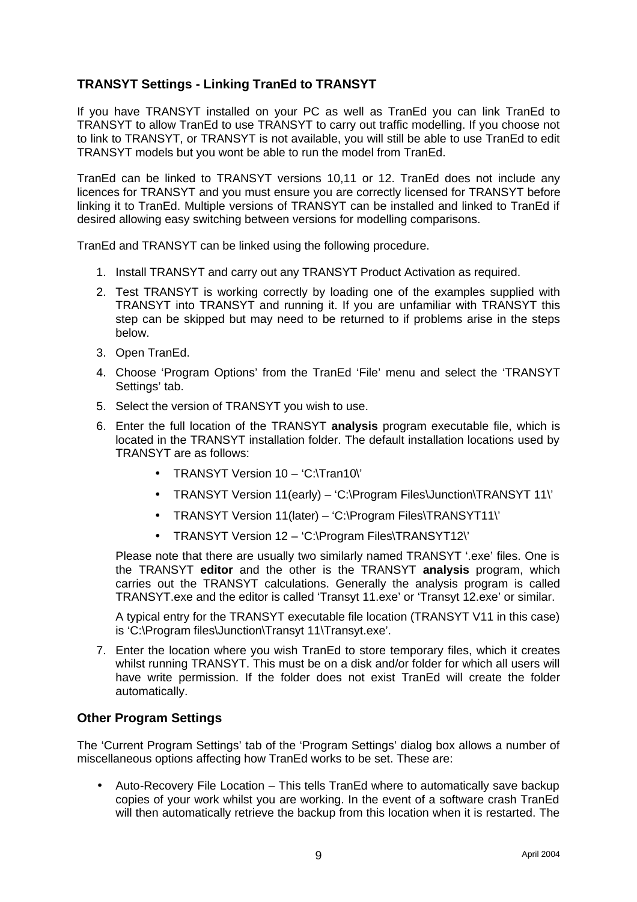## **TRANSYT Settings - Linking TranEd to TRANSYT**

If you have TRANSYT installed on your PC as well as TranEd you can link TranEd to TRANSYT to allow TranEd to use TRANSYT to carry out traffic modelling. If you choose not to link to TRANSYT, or TRANSYT is not available, you will still be able to use TranEd to edit TRANSYT models but you wont be able to run the model from TranEd.

TranEd can be linked to TRANSYT versions 10,11 or 12. TranEd does not include any licences for TRANSYT and you must ensure you are correctly licensed for TRANSYT before linking it to TranEd. Multiple versions of TRANSYT can be installed and linked to TranEd if desired allowing easy switching between versions for modelling comparisons.

TranEd and TRANSYT can be linked using the following procedure.

- 1. Install TRANSYT and carry out any TRANSYT Product Activation as required.
- 2. Test TRANSYT is working correctly by loading one of the examples supplied with TRANSYT into TRANSYT and running it. If you are unfamiliar with TRANSYT this step can be skipped but may need to be returned to if problems arise in the steps below.
- 3. Open TranEd.
- 4. Choose 'Program Options' from the TranEd 'File' menu and select the 'TRANSYT Settings' tab.
- 5. Select the version of TRANSYT you wish to use.
- 6. Enter the full location of the TRANSYT **analysis** program executable file, which is located in the TRANSYT installation folder. The default installation locations used by TRANSYT are as follows:
	- TRANSYT Version 10 'C:\Tran10\'
	- TRANSYT Version 11(early) 'C:\Program Files\Junction\TRANSYT 11\'
	- TRANSYT Version 11(later) 'C:\Program Files\TRANSYT11\'
	- TRANSYT Version 12 'C:\Program Files\TRANSYT12\'

Please note that there are usually two similarly named TRANSYT '.exe' files. One is the TRANSYT **editor** and the other is the TRANSYT **analysis** program, which carries out the TRANSYT calculations. Generally the analysis program is called TRANSYT.exe and the editor is called 'Transyt 11.exe' or 'Transyt 12.exe' or similar.

A typical entry for the TRANSYT executable file location (TRANSYT V11 in this case) is 'C:\Program files\Junction\Transyt 11\Transyt.exe'.

7. Enter the location where you wish TranEd to store temporary files, which it creates whilst running TRANSYT. This must be on a disk and/or folder for which all users will have write permission. If the folder does not exist TranEd will create the folder automatically.

#### **Other Program Settings**

The 'Current Program Settings' tab of the 'Program Settings' dialog box allows a number of miscellaneous options affecting how TranEd works to be set. These are:

• Auto-Recovery File Location – This tells TranEd where to automatically save backup copies of your work whilst you are working. In the event of a software crash TranEd will then automatically retrieve the backup from this location when it is restarted. The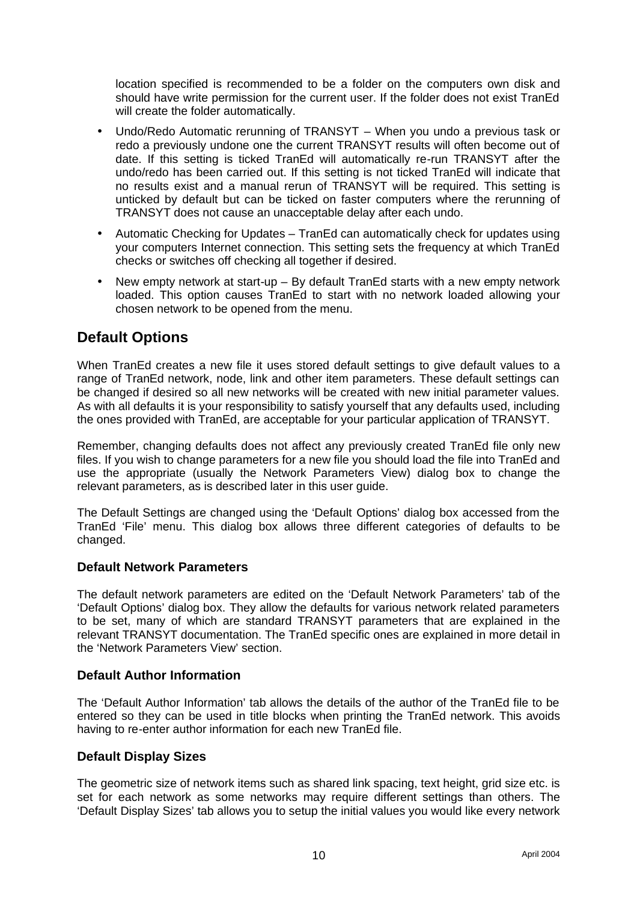location specified is recommended to be a folder on the computers own disk and should have write permission for the current user. If the folder does not exist TranEd will create the folder automatically.

- Undo/Redo Automatic rerunning of TRANSYT When you undo a previous task or redo a previously undone one the current TRANSYT results will often become out of date. If this setting is ticked TranEd will automatically re-run TRANSYT after the undo/redo has been carried out. If this setting is not ticked TranEd will indicate that no results exist and a manual rerun of TRANSYT will be required. This setting is unticked by default but can be ticked on faster computers where the rerunning of TRANSYT does not cause an unacceptable delay after each undo.
- Automatic Checking for Updates TranEd can automatically check for updates using your computers Internet connection. This setting sets the frequency at which TranEd checks or switches off checking all together if desired.
- New empty network at start-up By default TranEd starts with a new empty network loaded. This option causes TranEd to start with no network loaded allowing your chosen network to be opened from the menu.

## **Default Options**

When TranEd creates a new file it uses stored default settings to give default values to a range of TranEd network, node, link and other item parameters. These default settings can be changed if desired so all new networks will be created with new initial parameter values. As with all defaults it is your responsibility to satisfy yourself that any defaults used, including the ones provided with TranEd, are acceptable for your particular application of TRANSYT.

Remember, changing defaults does not affect any previously created TranEd file only new files. If you wish to change parameters for a new file you should load the file into TranEd and use the appropriate (usually the Network Parameters View) dialog box to change the relevant parameters, as is described later in this user guide.

The Default Settings are changed using the 'Default Options' dialog box accessed from the TranEd 'File' menu. This dialog box allows three different categories of defaults to be changed.

#### **Default Network Parameters**

The default network parameters are edited on the 'Default Network Parameters' tab of the 'Default Options' dialog box. They allow the defaults for various network related parameters to be set, many of which are standard TRANSYT parameters that are explained in the relevant TRANSYT documentation. The TranEd specific ones are explained in more detail in the 'Network Parameters View' section.

#### **Default Author Information**

The 'Default Author Information' tab allows the details of the author of the TranEd file to be entered so they can be used in title blocks when printing the TranEd network. This avoids having to re-enter author information for each new TranEd file.

#### **Default Display Sizes**

The geometric size of network items such as shared link spacing, text height, grid size etc. is set for each network as some networks may require different settings than others. The 'Default Display Sizes' tab allows you to setup the initial values you would like every network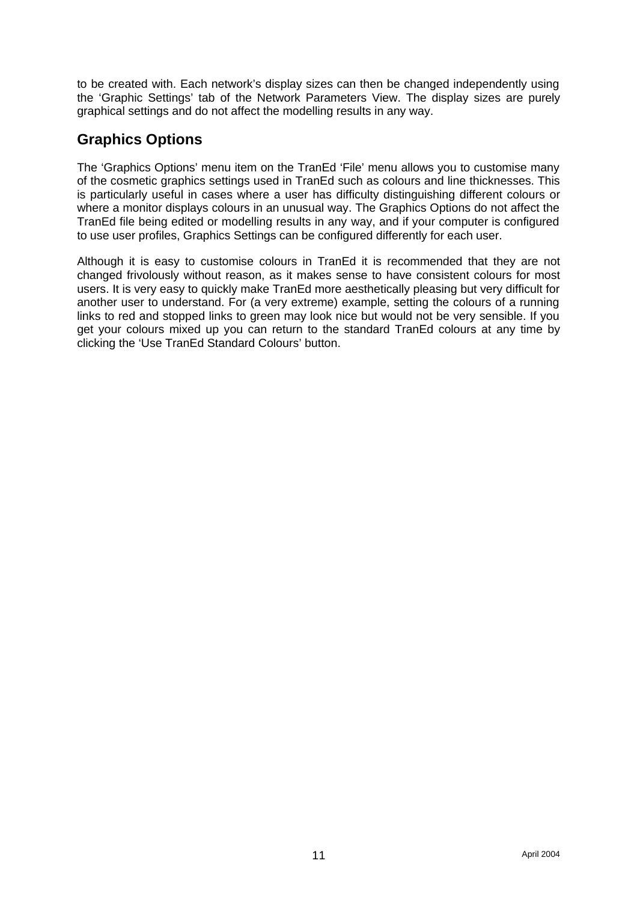to be created with. Each network's display sizes can then be changed independently using the 'Graphic Settings' tab of the Network Parameters View. The display sizes are purely graphical settings and do not affect the modelling results in any way.

## **Graphics Options**

The 'Graphics Options' menu item on the TranEd 'File' menu allows you to customise many of the cosmetic graphics settings used in TranEd such as colours and line thicknesses. This is particularly useful in cases where a user has difficulty distinguishing different colours or where a monitor displays colours in an unusual way. The Graphics Options do not affect the TranEd file being edited or modelling results in any way, and if your computer is configured to use user profiles, Graphics Settings can be configured differently for each user.

Although it is easy to customise colours in TranEd it is recommended that they are not changed frivolously without reason, as it makes sense to have consistent colours for most users. It is very easy to quickly make TranEd more aesthetically pleasing but very difficult for another user to understand. For (a very extreme) example, setting the colours of a running links to red and stopped links to green may look nice but would not be very sensible. If you get your colours mixed up you can return to the standard TranEd colours at any time by clicking the 'Use TranEd Standard Colours' button.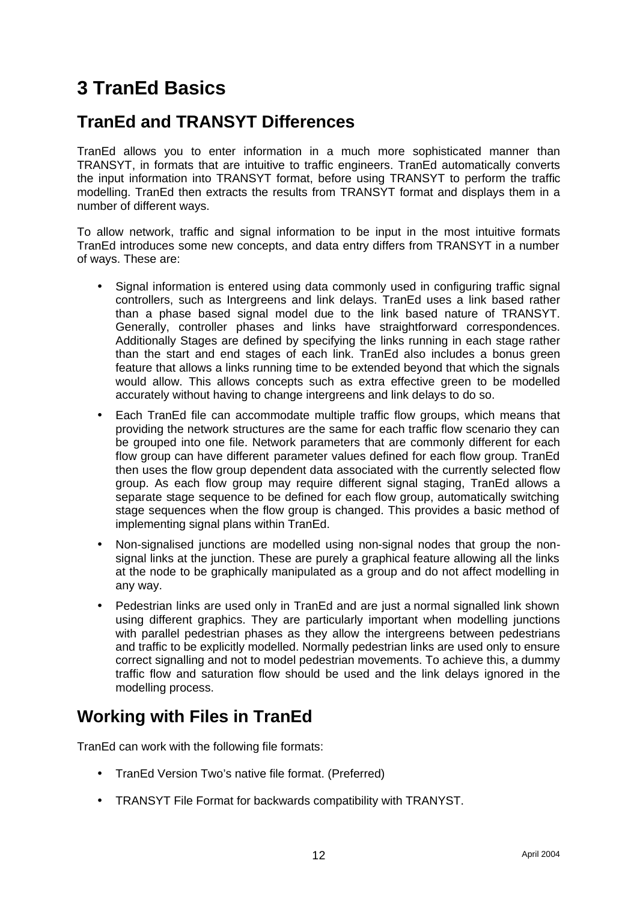# **3 TranEd Basics**

# **TranEd and TRANSYT Differences**

TranEd allows you to enter information in a much more sophisticated manner than TRANSYT, in formats that are intuitive to traffic engineers. TranEd automatically converts the input information into TRANSYT format, before using TRANSYT to perform the traffic modelling. TranEd then extracts the results from TRANSYT format and displays them in a number of different ways.

To allow network, traffic and signal information to be input in the most intuitive formats TranEd introduces some new concepts, and data entry differs from TRANSYT in a number of ways. These are:

- Signal information is entered using data commonly used in configuring traffic signal controllers, such as Intergreens and link delays. TranEd uses a link based rather than a phase based signal model due to the link based nature of TRANSYT. Generally, controller phases and links have straightforward correspondences. Additionally Stages are defined by specifying the links running in each stage rather than the start and end stages of each link. TranEd also includes a bonus green feature that allows a links running time to be extended beyond that which the signals would allow. This allows concepts such as extra effective green to be modelled accurately without having to change intergreens and link delays to do so.
- Each TranEd file can accommodate multiple traffic flow groups, which means that providing the network structures are the same for each traffic flow scenario they can be grouped into one file. Network parameters that are commonly different for each flow group can have different parameter values defined for each flow group. TranEd then uses the flow group dependent data associated with the currently selected flow group. As each flow group may require different signal staging, TranEd allows a separate stage sequence to be defined for each flow group, automatically switching stage sequences when the flow group is changed. This provides a basic method of implementing signal plans within TranEd.
- Non-signalised junctions are modelled using non-signal nodes that group the nonsignal links at the junction. These are purely a graphical feature allowing all the links at the node to be graphically manipulated as a group and do not affect modelling in any way.
- Pedestrian links are used only in TranEd and are just a normal signalled link shown using different graphics. They are particularly important when modelling junctions with parallel pedestrian phases as they allow the intergreens between pedestrians and traffic to be explicitly modelled. Normally pedestrian links are used only to ensure correct signalling and not to model pedestrian movements. To achieve this, a dummy traffic flow and saturation flow should be used and the link delays ignored in the modelling process.

# **Working with Files in TranEd**

TranEd can work with the following file formats:

- TranEd Version Two's native file format. (Preferred)
- TRANSYT File Format for backwards compatibility with TRANYST.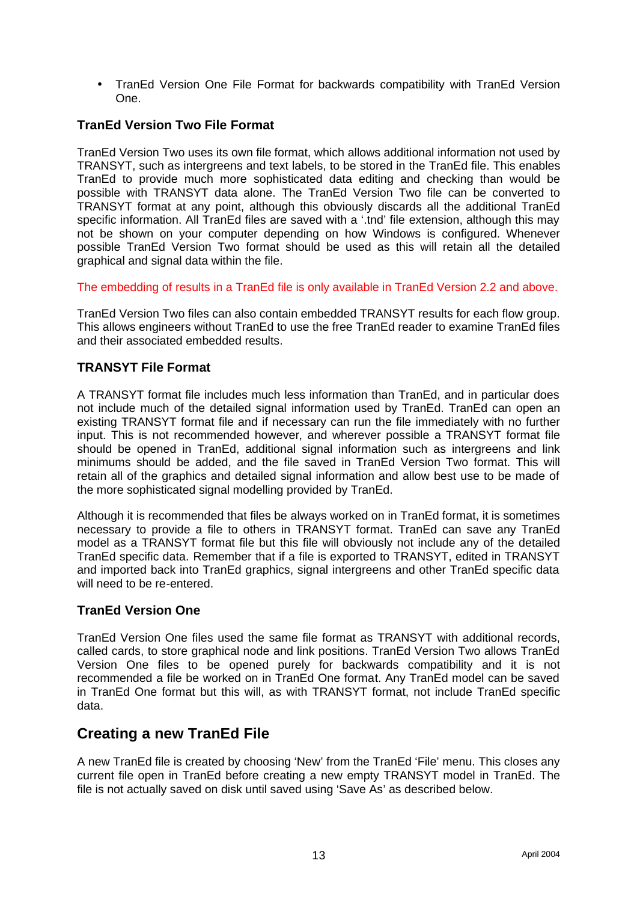• TranEd Version One File Format for backwards compatibility with TranEd Version One.

#### **TranEd Version Two File Format**

TranEd Version Two uses its own file format, which allows additional information not used by TRANSYT, such as intergreens and text labels, to be stored in the TranEd file. This enables TranEd to provide much more sophisticated data editing and checking than would be possible with TRANSYT data alone. The TranEd Version Two file can be converted to TRANSYT format at any point, although this obviously discards all the additional TranEd specific information. All TranEd files are saved with a '.tnd' file extension, although this may not be shown on your computer depending on how Windows is configured. Whenever possible TranEd Version Two format should be used as this will retain all the detailed graphical and signal data within the file.

The embedding of results in a TranEd file is only available in TranEd Version 2.2 and above.

TranEd Version Two files can also contain embedded TRANSYT results for each flow group. This allows engineers without TranEd to use the free TranEd reader to examine TranEd files and their associated embedded results.

#### **TRANSYT File Format**

A TRANSYT format file includes much less information than TranEd, and in particular does not include much of the detailed signal information used by TranEd. TranEd can open an existing TRANSYT format file and if necessary can run the file immediately with no further input. This is not recommended however, and wherever possible a TRANSYT format file should be opened in TranEd, additional signal information such as intergreens and link minimums should be added, and the file saved in TranEd Version Two format. This will retain all of the graphics and detailed signal information and allow best use to be made of the more sophisticated signal modelling provided by TranEd.

Although it is recommended that files be always worked on in TranEd format, it is sometimes necessary to provide a file to others in TRANSYT format. TranEd can save any TranEd model as a TRANSYT format file but this file will obviously not include any of the detailed TranEd specific data. Remember that if a file is exported to TRANSYT, edited in TRANSYT and imported back into TranEd graphics, signal intergreens and other TranEd specific data will need to be re-entered.

#### **TranEd Version One**

TranEd Version One files used the same file format as TRANSYT with additional records, called cards, to store graphical node and link positions. TranEd Version Two allows TranEd Version One files to be opened purely for backwards compatibility and it is not recommended a file be worked on in TranEd One format. Any TranEd model can be saved in TranEd One format but this will, as with TRANSYT format, not include TranEd specific data.

### **Creating a new TranEd File**

A new TranEd file is created by choosing 'New' from the TranEd 'File' menu. This closes any current file open in TranEd before creating a new empty TRANSYT model in TranEd. The file is not actually saved on disk until saved using 'Save As' as described below.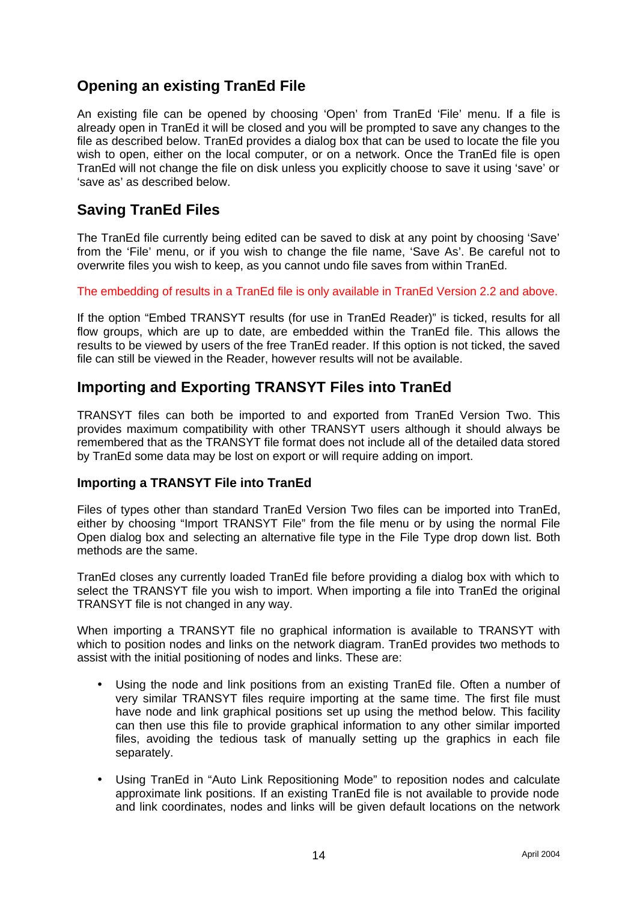## **Opening an existing TranEd File**

An existing file can be opened by choosing 'Open' from TranEd 'File' menu. If a file is already open in TranEd it will be closed and you will be prompted to save any changes to the file as described below. TranEd provides a dialog box that can be used to locate the file you wish to open, either on the local computer, or on a network. Once the TranEd file is open TranEd will not change the file on disk unless you explicitly choose to save it using 'save' or 'save as' as described below.

## **Saving TranEd Files**

The TranEd file currently being edited can be saved to disk at any point by choosing 'Save' from the 'File' menu, or if you wish to change the file name, 'Save As'. Be careful not to overwrite files you wish to keep, as you cannot undo file saves from within TranEd.

#### The embedding of results in a TranEd file is only available in TranEd Version 2.2 and above.

If the option "Embed TRANSYT results (for use in TranEd Reader)" is ticked, results for all flow groups, which are up to date, are embedded within the TranEd file. This allows the results to be viewed by users of the free TranEd reader. If this option is not ticked, the saved file can still be viewed in the Reader, however results will not be available.

## **Importing and Exporting TRANSYT Files into TranEd**

TRANSYT files can both be imported to and exported from TranEd Version Two. This provides maximum compatibility with other TRANSYT users although it should always be remembered that as the TRANSYT file format does not include all of the detailed data stored by TranEd some data may be lost on export or will require adding on import.

#### **Importing a TRANSYT File into TranEd**

Files of types other than standard TranEd Version Two files can be imported into TranEd, either by choosing "Import TRANSYT File" from the file menu or by using the normal File Open dialog box and selecting an alternative file type in the File Type drop down list. Both methods are the same.

TranEd closes any currently loaded TranEd file before providing a dialog box with which to select the TRANSYT file you wish to import. When importing a file into TranEd the original TRANSYT file is not changed in any way.

When importing a TRANSYT file no graphical information is available to TRANSYT with which to position nodes and links on the network diagram. TranEd provides two methods to assist with the initial positioning of nodes and links. These are:

- Using the node and link positions from an existing TranEd file. Often a number of very similar TRANSYT files require importing at the same time. The first file must have node and link graphical positions set up using the method below. This facility can then use this file to provide graphical information to any other similar imported files, avoiding the tedious task of manually setting up the graphics in each file separately.
- Using TranEd in "Auto Link Repositioning Mode" to reposition nodes and calculate approximate link positions. If an existing TranEd file is not available to provide node and link coordinates, nodes and links will be given default locations on the network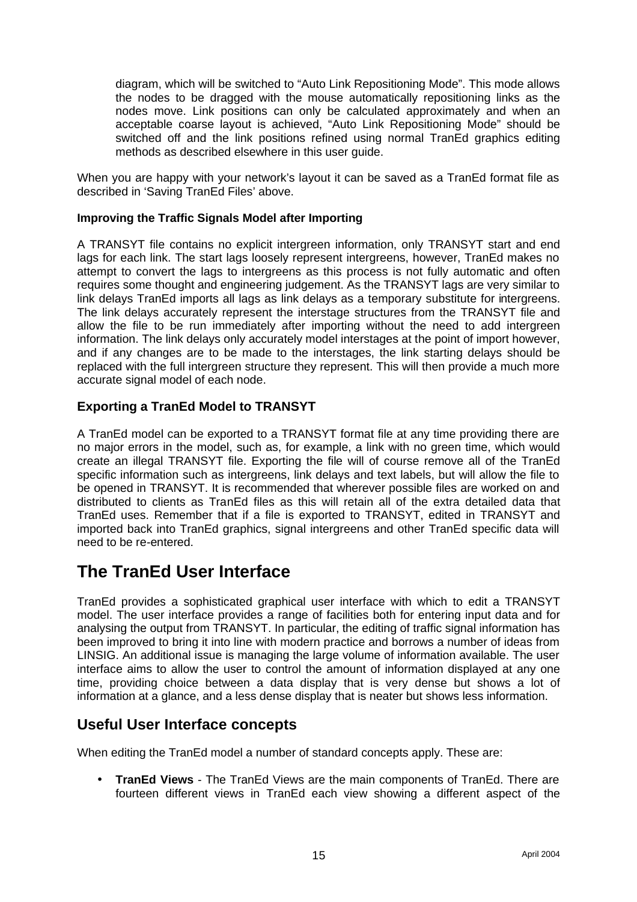diagram, which will be switched to "Auto Link Repositioning Mode". This mode allows the nodes to be dragged with the mouse automatically repositioning links as the nodes move. Link positions can only be calculated approximately and when an acceptable coarse layout is achieved, "Auto Link Repositioning Mode" should be switched off and the link positions refined using normal TranEd graphics editing methods as described elsewhere in this user guide.

When you are happy with your network's layout it can be saved as a TranEd format file as described in 'Saving TranEd Files' above.

#### **Improving the Traffic Signals Model after Importing**

A TRANSYT file contains no explicit intergreen information, only TRANSYT start and end lags for each link. The start lags loosely represent intergreens, however, TranEd makes no attempt to convert the lags to intergreens as this process is not fully automatic and often requires some thought and engineering judgement. As the TRANSYT lags are very similar to link delays TranEd imports all lags as link delays as a temporary substitute for intergreens. The link delays accurately represent the interstage structures from the TRANSYT file and allow the file to be run immediately after importing without the need to add intergreen information. The link delays only accurately model interstages at the point of import however, and if any changes are to be made to the interstages, the link starting delays should be replaced with the full intergreen structure they represent. This will then provide a much more accurate signal model of each node.

#### **Exporting a TranEd Model to TRANSYT**

A TranEd model can be exported to a TRANSYT format file at any time providing there are no major errors in the model, such as, for example, a link with no green time, which would create an illegal TRANSYT file. Exporting the file will of course remove all of the TranEd specific information such as intergreens, link delays and text labels, but will allow the file to be opened in TRANSYT. It is recommended that wherever possible files are worked on and distributed to clients as TranEd files as this will retain all of the extra detailed data that TranEd uses. Remember that if a file is exported to TRANSYT, edited in TRANSYT and imported back into TranEd graphics, signal intergreens and other TranEd specific data will need to be re-entered.

## **The TranEd User Interface**

TranEd provides a sophisticated graphical user interface with which to edit a TRANSYT model. The user interface provides a range of facilities both for entering input data and for analysing the output from TRANSYT. In particular, the editing of traffic signal information has been improved to bring it into line with modern practice and borrows a number of ideas from LINSIG. An additional issue is managing the large volume of information available. The user interface aims to allow the user to control the amount of information displayed at any one time, providing choice between a data display that is very dense but shows a lot of information at a glance, and a less dense display that is neater but shows less information.

### **Useful User Interface concepts**

When editing the TranEd model a number of standard concepts apply. These are:

• **TranEd Views** - The TranEd Views are the main components of TranEd. There are fourteen different views in TranEd each view showing a different aspect of the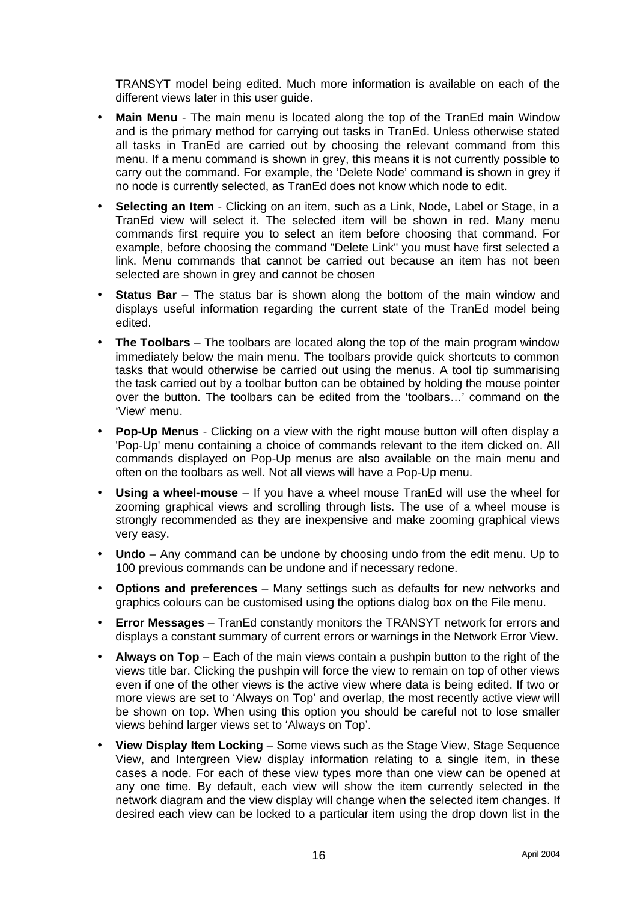TRANSYT model being edited. Much more information is available on each of the different views later in this user guide.

- **Main Menu** The main menu is located along the top of the TranEd main Window and is the primary method for carrying out tasks in TranEd. Unless otherwise stated all tasks in TranEd are carried out by choosing the relevant command from this menu. If a menu command is shown in grey, this means it is not currently possible to carry out the command. For example, the 'Delete Node' command is shown in grey if no node is currently selected, as TranEd does not know which node to edit.
- **Selecting an Item** Clicking on an item, such as a Link, Node, Label or Stage, in a TranEd view will select it. The selected item will be shown in red. Many menu commands first require you to select an item before choosing that command. For example, before choosing the command "Delete Link" you must have first selected a link. Menu commands that cannot be carried out because an item has not been selected are shown in grey and cannot be chosen
- **Status Bar** The status bar is shown along the bottom of the main window and displays useful information regarding the current state of the TranEd model being edited.
- **The Toolbars** The toolbars are located along the top of the main program window immediately below the main menu. The toolbars provide quick shortcuts to common tasks that would otherwise be carried out using the menus. A tool tip summarising the task carried out by a toolbar button can be obtained by holding the mouse pointer over the button. The toolbars can be edited from the 'toolbars…' command on the 'View' menu.
- **Pop-Up Menus** Clicking on a view with the right mouse button will often display a 'Pop-Up' menu containing a choice of commands relevant to the item clicked on. All commands displayed on Pop-Up menus are also available on the main menu and often on the toolbars as well. Not all views will have a Pop-Up menu.
- **Using a wheel-mouse** If you have a wheel mouse TranEd will use the wheel for zooming graphical views and scrolling through lists. The use of a wheel mouse is strongly recommended as they are inexpensive and make zooming graphical views very easy.
- **Undo** Any command can be undone by choosing undo from the edit menu. Up to 100 previous commands can be undone and if necessary redone.
- **Options and preferences** Many settings such as defaults for new networks and graphics colours can be customised using the options dialog box on the File menu.
- **Error Messages** TranEd constantly monitors the TRANSYT network for errors and displays a constant summary of current errors or warnings in the Network Error View.
- **Always on Top** Each of the main views contain a pushpin button to the right of the views title bar. Clicking the pushpin will force the view to remain on top of other views even if one of the other views is the active view where data is being edited. If two or more views are set to 'Always on Top' and overlap, the most recently active view will be shown on top. When using this option you should be careful not to lose smaller views behind larger views set to 'Always on Top'.
- **View Display Item Locking**  Some views such as the Stage View, Stage Sequence View, and Intergreen View display information relating to a single item, in these cases a node. For each of these view types more than one view can be opened at any one time. By default, each view will show the item currently selected in the network diagram and the view display will change when the selected item changes. If desired each view can be locked to a particular item using the drop down list in the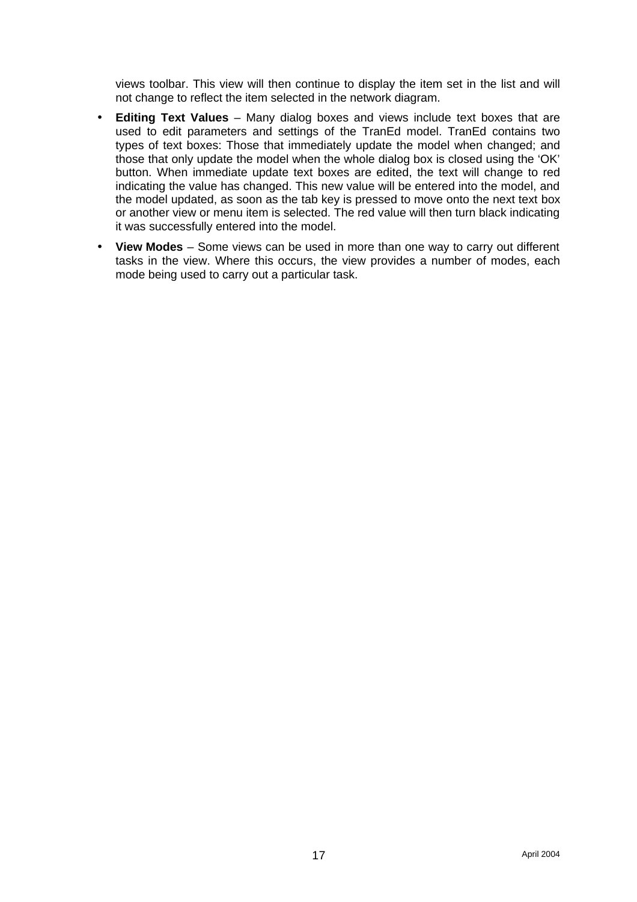views toolbar. This view will then continue to display the item set in the list and will not change to reflect the item selected in the network diagram.

- **Editing Text Values** Many dialog boxes and views include text boxes that are used to edit parameters and settings of the TranEd model. TranEd contains two types of text boxes: Those that immediately update the model when changed; and those that only update the model when the whole dialog box is closed using the 'OK' button. When immediate update text boxes are edited, the text will change to red indicating the value has changed. This new value will be entered into the model, and the model updated, as soon as the tab key is pressed to move onto the next text box or another view or menu item is selected. The red value will then turn black indicating it was successfully entered into the model.
- **View Modes**  Some views can be used in more than one way to carry out different tasks in the view. Where this occurs, the view provides a number of modes, each mode being used to carry out a particular task.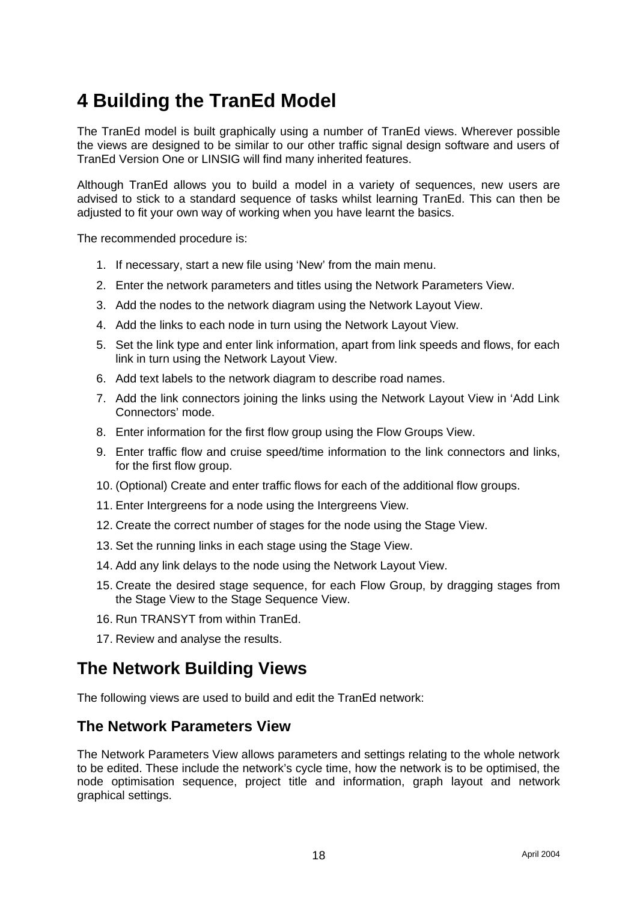# **4 Building the TranEd Model**

The TranEd model is built graphically using a number of TranEd views. Wherever possible the views are designed to be similar to our other traffic signal design software and users of TranEd Version One or LINSIG will find many inherited features.

Although TranEd allows you to build a model in a variety of sequences, new users are advised to stick to a standard sequence of tasks whilst learning TranEd. This can then be adjusted to fit your own way of working when you have learnt the basics.

The recommended procedure is:

- 1. If necessary, start a new file using 'New' from the main menu.
- 2. Enter the network parameters and titles using the Network Parameters View.
- 3. Add the nodes to the network diagram using the Network Layout View.
- 4. Add the links to each node in turn using the Network Layout View.
- 5. Set the link type and enter link information, apart from link speeds and flows, for each link in turn using the Network Layout View.
- 6. Add text labels to the network diagram to describe road names.
- 7. Add the link connectors joining the links using the Network Layout View in 'Add Link Connectors' mode.
- 8. Enter information for the first flow group using the Flow Groups View.
- 9. Enter traffic flow and cruise speed/time information to the link connectors and links, for the first flow group.
- 10. (Optional) Create and enter traffic flows for each of the additional flow groups.
- 11. Enter Intergreens for a node using the Intergreens View.
- 12. Create the correct number of stages for the node using the Stage View.
- 13. Set the running links in each stage using the Stage View.
- 14. Add any link delays to the node using the Network Layout View.
- 15. Create the desired stage sequence, for each Flow Group, by dragging stages from the Stage View to the Stage Sequence View.
- 16. Run TRANSYT from within TranEd.
- 17. Review and analyse the results.

## **The Network Building Views**

The following views are used to build and edit the TranEd network:

### **The Network Parameters View**

The Network Parameters View allows parameters and settings relating to the whole network to be edited. These include the network's cycle time, how the network is to be optimised, the node optimisation sequence, project title and information, graph layout and network graphical settings.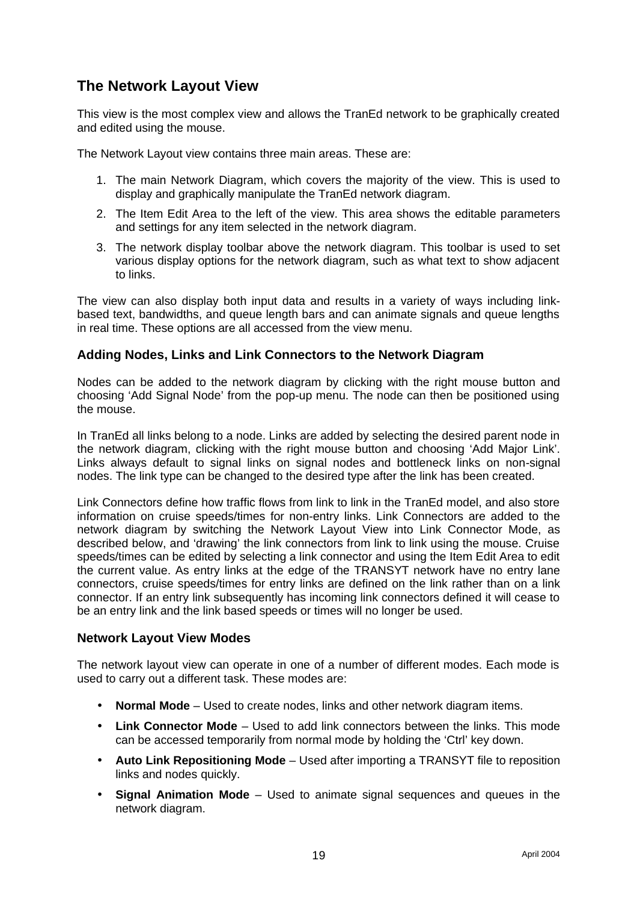## **The Network Layout View**

This view is the most complex view and allows the TranEd network to be graphically created and edited using the mouse.

The Network Layout view contains three main areas. These are:

- 1. The main Network Diagram, which covers the majority of the view. This is used to display and graphically manipulate the TranEd network diagram.
- 2. The Item Edit Area to the left of the view. This area shows the editable parameters and settings for any item selected in the network diagram.
- 3. The network display toolbar above the network diagram. This toolbar is used to set various display options for the network diagram, such as what text to show adjacent to links.

The view can also display both input data and results in a variety of ways including linkbased text, bandwidths, and queue length bars and can animate signals and queue lengths in real time. These options are all accessed from the view menu.

#### **Adding Nodes, Links and Link Connectors to the Network Diagram**

Nodes can be added to the network diagram by clicking with the right mouse button and choosing 'Add Signal Node' from the pop-up menu. The node can then be positioned using the mouse.

In TranEd all links belong to a node. Links are added by selecting the desired parent node in the network diagram, clicking with the right mouse button and choosing 'Add Major Link'. Links always default to signal links on signal nodes and bottleneck links on non-signal nodes. The link type can be changed to the desired type after the link has been created.

Link Connectors define how traffic flows from link to link in the TranEd model, and also store information on cruise speeds/times for non-entry links. Link Connectors are added to the network diagram by switching the Network Layout View into Link Connector Mode, as described below, and 'drawing' the link connectors from link to link using the mouse. Cruise speeds/times can be edited by selecting a link connector and using the Item Edit Area to edit the current value. As entry links at the edge of the TRANSYT network have no entry lane connectors, cruise speeds/times for entry links are defined on the link rather than on a link connector. If an entry link subsequently has incoming link connectors defined it will cease to be an entry link and the link based speeds or times will no longer be used.

#### **Network Layout View Modes**

The network layout view can operate in one of a number of different modes. Each mode is used to carry out a different task. These modes are:

- **Normal Mode** Used to create nodes, links and other network diagram items.
- **Link Connector Mode** Used to add link connectors between the links. This mode can be accessed temporarily from normal mode by holding the 'Ctrl' key down.
- **Auto Link Repositioning Mode** Used after importing a TRANSYT file to reposition links and nodes quickly.
- **Signal Animation Mode** Used to animate signal sequences and queues in the network diagram.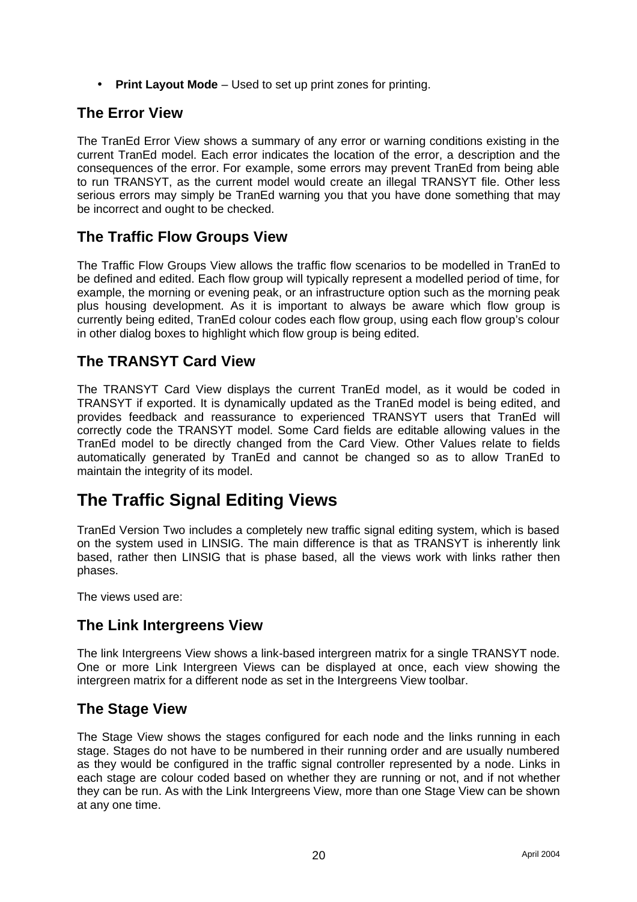• **Print Layout Mode** – Used to set up print zones for printing.

## **The Error View**

The TranEd Error View shows a summary of any error or warning conditions existing in the current TranEd model. Each error indicates the location of the error, a description and the consequences of the error. For example, some errors may prevent TranEd from being able to run TRANSYT, as the current model would create an illegal TRANSYT file. Other less serious errors may simply be TranEd warning you that you have done something that may be incorrect and ought to be checked.

## **The Traffic Flow Groups View**

The Traffic Flow Groups View allows the traffic flow scenarios to be modelled in TranEd to be defined and edited. Each flow group will typically represent a modelled period of time, for example, the morning or evening peak, or an infrastructure option such as the morning peak plus housing development. As it is important to always be aware which flow group is currently being edited, TranEd colour codes each flow group, using each flow group's colour in other dialog boxes to highlight which flow group is being edited.

## **The TRANSYT Card View**

The TRANSYT Card View displays the current TranEd model, as it would be coded in TRANSYT if exported. It is dynamically updated as the TranEd model is being edited, and provides feedback and reassurance to experienced TRANSYT users that TranEd will correctly code the TRANSYT model. Some Card fields are editable allowing values in the TranEd model to be directly changed from the Card View. Other Values relate to fields automatically generated by TranEd and cannot be changed so as to allow TranEd to maintain the integrity of its model.

## **The Traffic Signal Editing Views**

TranEd Version Two includes a completely new traffic signal editing system, which is based on the system used in LINSIG. The main difference is that as TRANSYT is inherently link based, rather then LINSIG that is phase based, all the views work with links rather then phases.

The views used are:

## **The Link Intergreens View**

The link Intergreens View shows a link-based intergreen matrix for a single TRANSYT node. One or more Link Intergreen Views can be displayed at once, each view showing the intergreen matrix for a different node as set in the Intergreens View toolbar.

## **The Stage View**

The Stage View shows the stages configured for each node and the links running in each stage. Stages do not have to be numbered in their running order and are usually numbered as they would be configured in the traffic signal controller represented by a node. Links in each stage are colour coded based on whether they are running or not, and if not whether they can be run. As with the Link Intergreens View, more than one Stage View can be shown at any one time.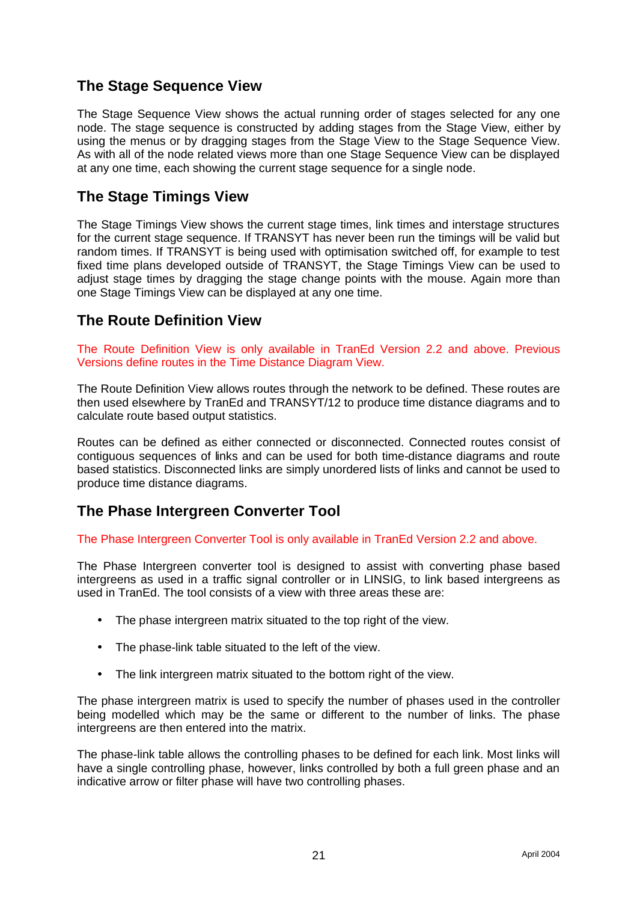## **The Stage Sequence View**

The Stage Sequence View shows the actual running order of stages selected for any one node. The stage sequence is constructed by adding stages from the Stage View, either by using the menus or by dragging stages from the Stage View to the Stage Sequence View. As with all of the node related views more than one Stage Sequence View can be displayed at any one time, each showing the current stage sequence for a single node.

## **The Stage Timings View**

The Stage Timings View shows the current stage times, link times and interstage structures for the current stage sequence. If TRANSYT has never been run the timings will be valid but random times. If TRANSYT is being used with optimisation switched off, for example to test fixed time plans developed outside of TRANSYT, the Stage Timings View can be used to adjust stage times by dragging the stage change points with the mouse. Again more than one Stage Timings View can be displayed at any one time.

## **The Route Definition View**

The Route Definition View is only available in TranEd Version 2.2 and above. Previous Versions define routes in the Time Distance Diagram View.

The Route Definition View allows routes through the network to be defined. These routes are then used elsewhere by TranEd and TRANSYT/12 to produce time distance diagrams and to calculate route based output statistics.

Routes can be defined as either connected or disconnected. Connected routes consist of contiguous sequences of links and can be used for both time-distance diagrams and route based statistics. Disconnected links are simply unordered lists of links and cannot be used to produce time distance diagrams.

## **The Phase Intergreen Converter Tool**

The Phase Intergreen Converter Tool is only available in TranEd Version 2.2 and above.

The Phase Intergreen converter tool is designed to assist with converting phase based intergreens as used in a traffic signal controller or in LINSIG, to link based intergreens as used in TranEd. The tool consists of a view with three areas these are:

- The phase intergreen matrix situated to the top right of the view.
- The phase-link table situated to the left of the view.
- The link intergreen matrix situated to the bottom right of the view.

The phase intergreen matrix is used to specify the number of phases used in the controller being modelled which may be the same or different to the number of links. The phase intergreens are then entered into the matrix.

The phase-link table allows the controlling phases to be defined for each link. Most links will have a single controlling phase, however, links controlled by both a full green phase and an indicative arrow or filter phase will have two controlling phases.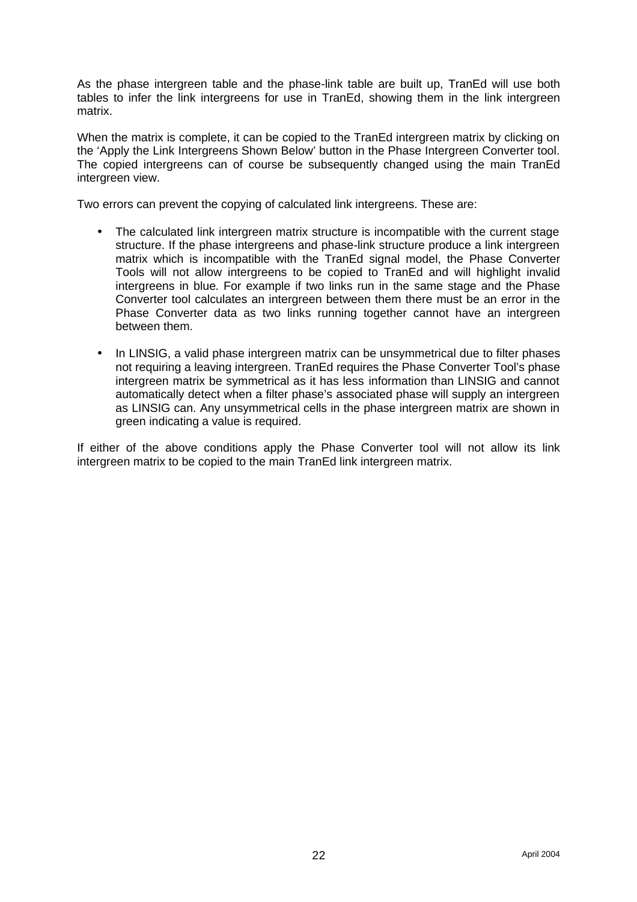As the phase intergreen table and the phase-link table are built up, TranEd will use both tables to infer the link intergreens for use in TranEd, showing them in the link intergreen matrix.

When the matrix is complete, it can be copied to the TranEd intergreen matrix by clicking on the 'Apply the Link Intergreens Shown Below' button in the Phase Intergreen Converter tool. The copied intergreens can of course be subsequently changed using the main TranEd intergreen view.

Two errors can prevent the copying of calculated link intergreens. These are:

- The calculated link intergreen matrix structure is incompatible with the current stage structure. If the phase intergreens and phase-link structure produce a link intergreen matrix which is incompatible with the TranEd signal model, the Phase Converter Tools will not allow intergreens to be copied to TranEd and will highlight invalid intergreens in blue. For example if two links run in the same stage and the Phase Converter tool calculates an intergreen between them there must be an error in the Phase Converter data as two links running together cannot have an intergreen between them.
- In LINSIG, a valid phase intergreen matrix can be unsymmetrical due to filter phases not requiring a leaving intergreen. TranEd requires the Phase Converter Tool's phase intergreen matrix be symmetrical as it has less information than LINSIG and cannot automatically detect when a filter phase's associated phase will supply an intergreen as LINSIG can. Any unsymmetrical cells in the phase intergreen matrix are shown in green indicating a value is required.

If either of the above conditions apply the Phase Converter tool will not allow its link intergreen matrix to be copied to the main TranEd link intergreen matrix.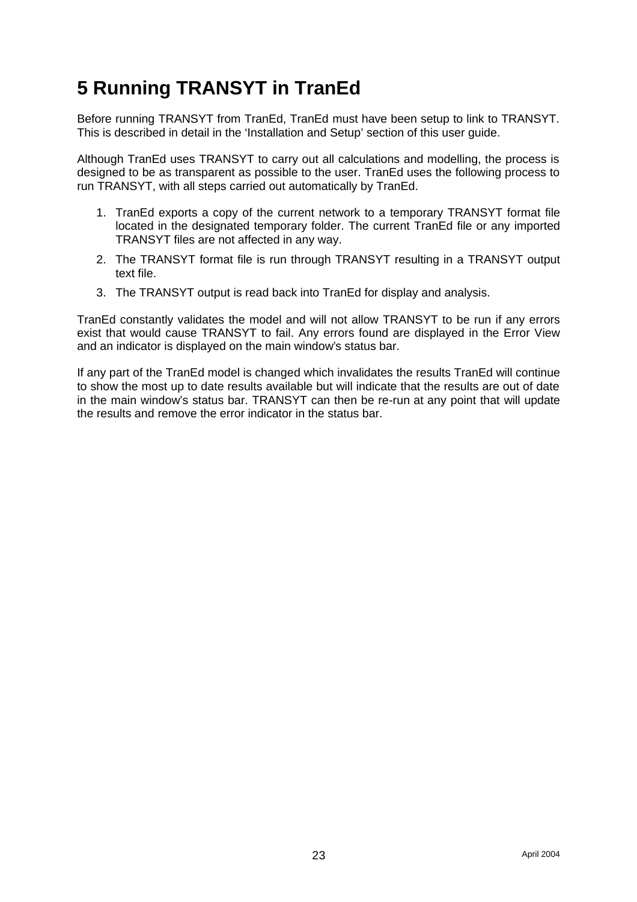# **5 Running TRANSYT in TranEd**

Before running TRANSYT from TranEd, TranEd must have been setup to link to TRANSYT. This is described in detail in the 'Installation and Setup' section of this user guide.

Although TranEd uses TRANSYT to carry out all calculations and modelling, the process is designed to be as transparent as possible to the user. TranEd uses the following process to run TRANSYT, with all steps carried out automatically by TranEd.

- 1. TranEd exports a copy of the current network to a temporary TRANSYT format file located in the designated temporary folder. The current TranEd file or any imported TRANSYT files are not affected in any way.
- 2. The TRANSYT format file is run through TRANSYT resulting in a TRANSYT output text file.
- 3. The TRANSYT output is read back into TranEd for display and analysis.

TranEd constantly validates the model and will not allow TRANSYT to be run if any errors exist that would cause TRANSYT to fail. Any errors found are displayed in the Error View and an indicator is displayed on the main window's status bar.

If any part of the TranEd model is changed which invalidates the results TranEd will continue to show the most up to date results available but will indicate that the results are out of date in the main window's status bar. TRANSYT can then be re-run at any point that will update the results and remove the error indicator in the status bar.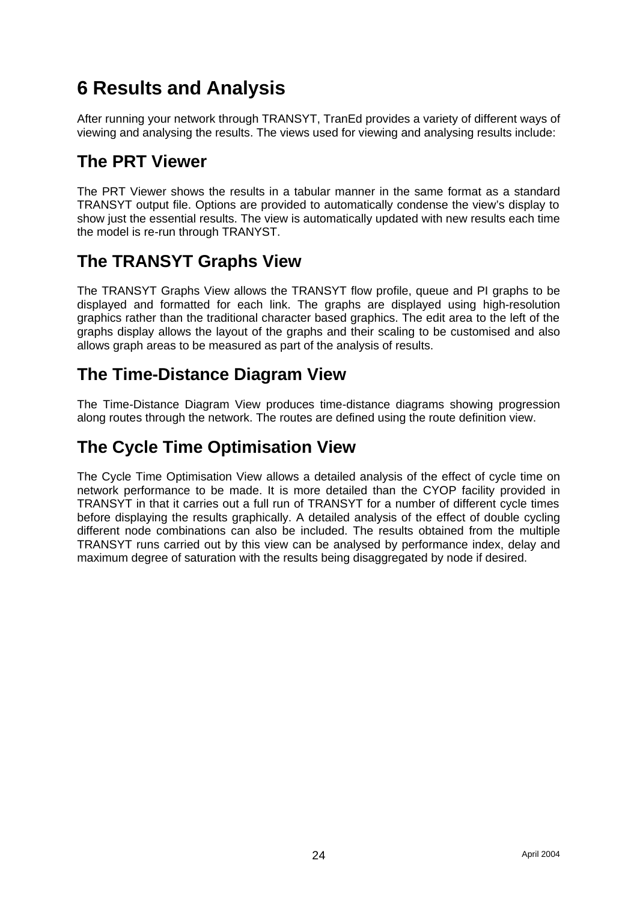# **6 Results and Analysis**

After running your network through TRANSYT, TranEd provides a variety of different ways of viewing and analysing the results. The views used for viewing and analysing results include:

# **The PRT Viewer**

The PRT Viewer shows the results in a tabular manner in the same format as a standard TRANSYT output file. Options are provided to automatically condense the view's display to show just the essential results. The view is automatically updated with new results each time the model is re-run through TRANYST.

# **The TRANSYT Graphs View**

The TRANSYT Graphs View allows the TRANSYT flow profile, queue and PI graphs to be displayed and formatted for each link. The graphs are displayed using high-resolution graphics rather than the traditional character based graphics. The edit area to the left of the graphs display allows the layout of the graphs and their scaling to be customised and also allows graph areas to be measured as part of the analysis of results.

# **The Time-Distance Diagram View**

The Time-Distance Diagram View produces time-distance diagrams showing progression along routes through the network. The routes are defined using the route definition view.

# **The Cycle Time Optimisation View**

The Cycle Time Optimisation View allows a detailed analysis of the effect of cycle time on network performance to be made. It is more detailed than the CYOP facility provided in TRANSYT in that it carries out a full run of TRANSYT for a number of different cycle times before displaying the results graphically. A detailed analysis of the effect of double cycling different node combinations can also be included. The results obtained from the multiple TRANSYT runs carried out by this view can be analysed by performance index, delay and maximum degree of saturation with the results being disaggregated by node if desired.